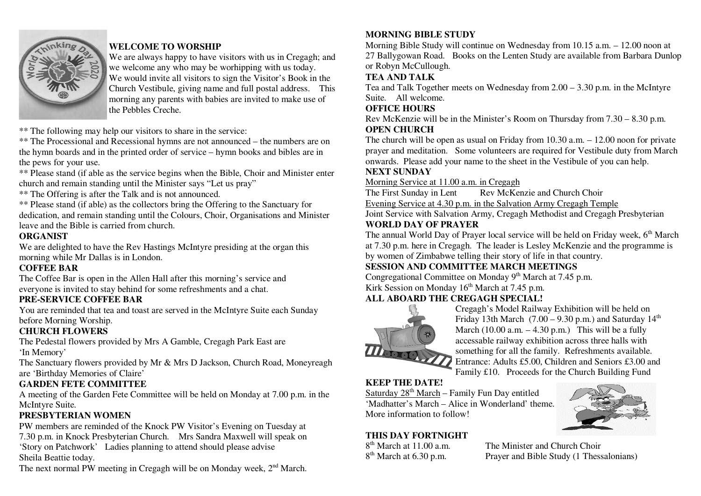

## **WELCOME TO WORSHIP**

 We are always happy to have visitors with us in Cregagh; and we welcome any who may be worhipping with us today. We would invite all visitors to sign the Visitor's Book in the Church Vestibule, giving name and full postal address. This morning any parents with babies are invited to make use of the Pebbles Creche.

\*\* The following may help our visitors to share in the service:

 \*\* The Processional and Recessional hymns are not announced – the numbers are on the hymn boards and in the printed order of service – hymn books and bibles are in the pews for your use.

 \*\* Please stand (if able as the service begins when the Bible, Choir and Minister enter church and remain standing until the Minister says "Let us pray"

\*\* The Offering is after the Talk and is not announced.

 \*\* Please stand (if able) as the collectors bring the Offering to the Sanctuary for dedication, and remain standing until the Colours, Choir, Organisations and Minister leave and the Bible is carried from church.

### **ORGANIST**

 We are delighted to have the Rev Hastings McIntyre presiding at the organ this morning while Mr Dallas is in London.

### **COFFEE BAR**

The Coffee Bar is open in the Allen Hall after this morning's service and everyone is invited to stay behind for some refreshments and a chat.

# **PRE-SERVICE COFFEE BAR**

 You are reminded that tea and toast are served in the McIntyre Suite each Sunday before Morning Worship.

### **CHURCH FLOWERS**

 The Pedestal flowers provided by Mrs A Gamble, Cregagh Park East are 'In Memory'

 The Sanctuary flowers provided by Mr & Mrs D Jackson, Church Road, Moneyreagh are 'Birthday Memories of Claire'

# **GARDEN FETE COMMITTEE**

 A meeting of the Garden Fete Committee will be held on Monday at 7.00 p.m. in the McIntyre Suite.

### **PRESBYTERIAN WOMEN**

 PW members are reminded of the Knock PW Visitor's Evening on Tuesday at 7.30 p.m. in Knock Presbyterian Church. Mrs Sandra Maxwell will speak on 'Story on Patchwork' Ladies planning to attend should please advise Sheila Beattie today.

The next normal PW meeting in Cregagh will be on Monday week,  $2<sup>nd</sup>$  March.

## **MORNING BIBLE STUDY**

 Morning Bible Study will continue on Wednesday from 10.15 a.m. – 12.00 noon at 27 Ballygowan Road. Books on the Lenten Study are available from Barbara Dunlop or Robyn McCullough.

### **TEA AND TALK**

 Tea and Talk Together meets on Wednesday from 2.00 – 3.30 p.m. in the McIntyre Suite. All welcome.

### **OFFICE HOURS**

 Rev McKenzie will be in the Minister's Room on Thursday from 7.30 – 8.30 p.m. **OPEN CHURCH** 

 The church will be open as usual on Friday from 10.30 a.m. – 12.00 noon for private prayer and meditation. Some volunteers are required for Vestibule duty from March onwards. Please add your name to the sheet in the Vestibule of you can help.

### **NEXT SUNDAY**

Morning Service at 11.00 a.m. in Cregagh

The First Sunday in Lent Rev McKenzie and Church Choir Evening Service at 4.30 p.m. in the Salvation Army Cregagh Temple Joint Service with Salvation Army, Cregagh Methodist and Cregagh Presbyterian **WORLD DAY OF PRAYER** 

The annual World Day of Prayer local service will be held on Friday week, 6<sup>th</sup> March at 7.30 p.m. here in Cregagh. The leader is Lesley McKenzie and the programme is by women of Zimbabwe telling their story of life in that country.

# **SESSION AND COMMITTEE MARCH MEETINGS**

Congregational Committee on Monday 9<sup>th</sup> March at 7.45 p.m.

Kirk Session on Monday  $16<sup>th</sup>$  March at 7.45 p.m.

# **ALL ABOARD THE CREGAGH SPECIAL!**



 Cregagh's Model Railway Exhibition will be held on Friday 13th March  $(7.00 - 9.30 \text{ p.m.})$  and Saturday  $14^{\text{th}}$ March (10.00 a.m.  $-4.30$  p.m.) This will be a fully accessable railway exhibition across three halls with something for all the family. Refreshments available. Entrance: Adults £5.00, Children and Seniors £3.00 and Family £10. Proceeds for the Church Building Fund

# **KEEP THE DATE!**

Saturday 28<sup>th</sup> March – Family Fun Day entitled 'Madhatter's March – Alice in Wonderland' theme. More information to follow!

### **THIS DAY FORTNIGHT**

8<sup>th</sup> March at 11.00 a.m. The Minister and Church Choir  $8<sup>th</sup>$  March at 6.30 p.m. Prayer and Bible Study (1 Thessalonians)